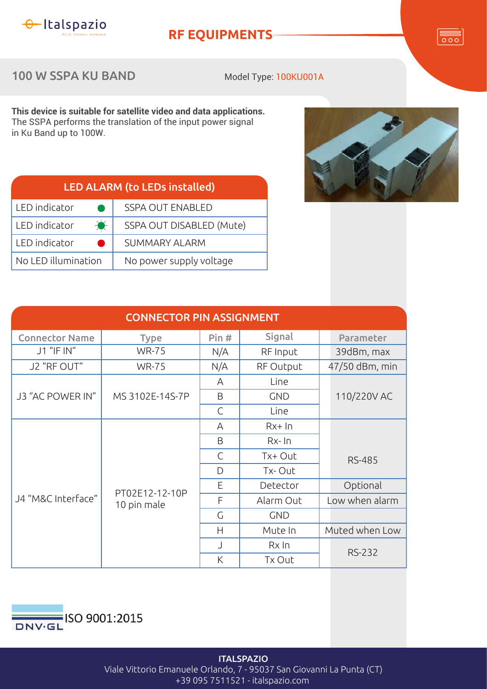

## **RF EQUIPMENTS**

 $\overline{\overline{\circ\circ}}$ 

100 W SSPA KU BAND

Model Type: 100KU001A

**This device is suitable for satellite video and data applications.** The SSPA performs the translation of the input power signal in Ku Band up to 100W.

| <b>LED ALARM (to LEDs installed)</b> |                          |  |  |  |
|--------------------------------------|--------------------------|--|--|--|
| LED indicator                        | <b>SSPA OUT ENABLED</b>  |  |  |  |
| $\bullet$<br>LED indicator           | SSPA OUT DISABLED (Mute) |  |  |  |
| LED indicator                        | <b>SUMMARY ALARM</b>     |  |  |  |
| No LED illumination                  | No power supply voltage  |  |  |  |



| <b>CONNECTOR PIN ASSIGNMENT</b> |                               |              |              |                |  |  |  |
|---------------------------------|-------------------------------|--------------|--------------|----------------|--|--|--|
| <b>Connector Name</b>           | <b>Type</b>                   | Pin#         | Signal       | Parameter      |  |  |  |
| J1 "IF IN"                      | <b>WR-75</b>                  | N/A          | RF Input     | 39dBm, max     |  |  |  |
| J2 "RF OUT"                     | <b>WR-75</b>                  | N/A          | RF Output    | 47/50 dBm, min |  |  |  |
| J3 "AC POWER IN"                | MS 3102E-14S-7P               | A            | Line         |                |  |  |  |
|                                 |                               | B            | <b>GND</b>   | 110/220V AC    |  |  |  |
|                                 |                               | $\mathsf{C}$ | Line         |                |  |  |  |
| J4 "M&C Interface"              | PT02E12-12-10P<br>10 pin male | A            | $Rx+In$      |                |  |  |  |
|                                 |                               | B            | $Rx$ - $\ln$ |                |  |  |  |
|                                 |                               | $\mathsf{C}$ | Tx+ Out      | <b>RS-485</b>  |  |  |  |
|                                 |                               | D            | Tx-Out       |                |  |  |  |
|                                 |                               | Е            | Detector     | Optional       |  |  |  |
|                                 |                               | F            | Alarm Out    | Low when alarm |  |  |  |
|                                 |                               | G            | <b>GND</b>   |                |  |  |  |
|                                 |                               | H            | Mute In      | Muted when Low |  |  |  |
|                                 |                               | J            | Rx In        |                |  |  |  |
|                                 |                               | K            | Tx Out       | <b>RS-232</b>  |  |  |  |



**ITALSPAZIO** Viale Vittorio Emanuele Orlando, 7 - 95037 San Giovanni La Punta (CT) +39 095 7511521 - italspazio.com